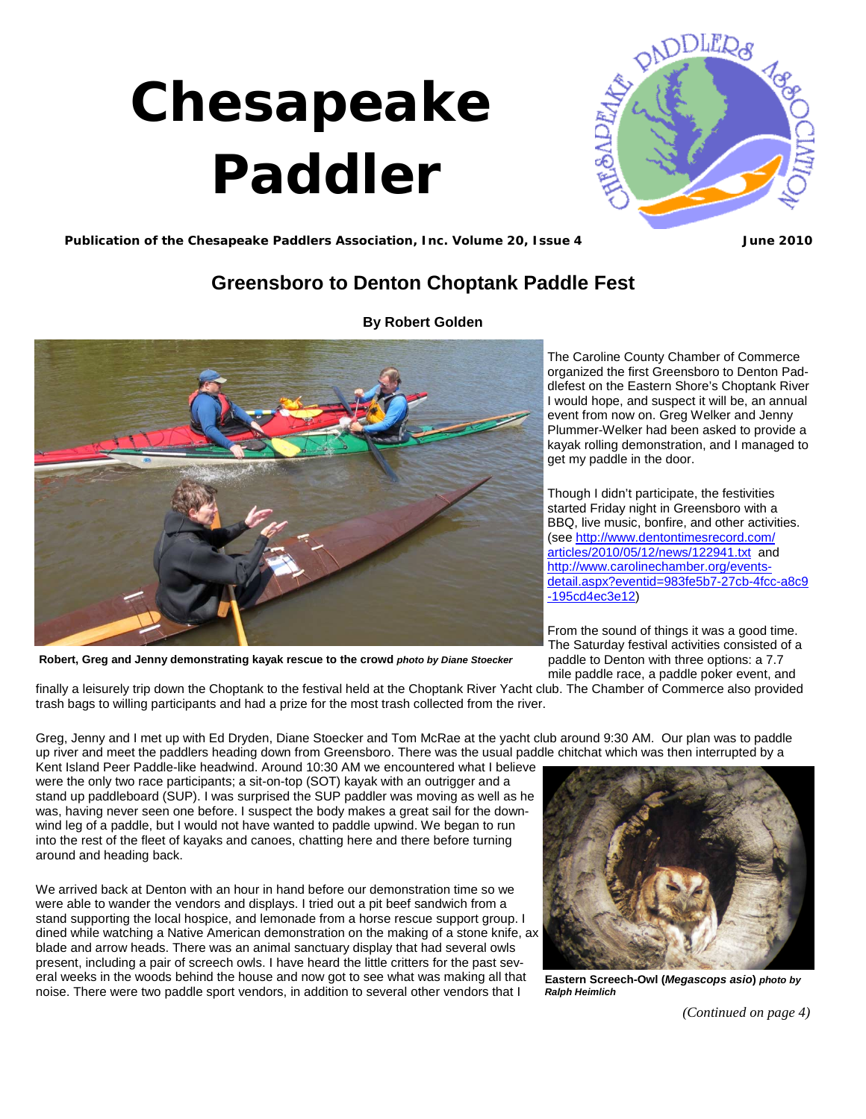# <span id="page-0-0"></span> **Chesapeake Paddler**



**Publication of the Chesapeake Paddlers Association, Inc. Volume 20, Issue 4 June 2010**

## **Greensboro to Denton Choptank Paddle Fest**



**By Robert Golden** 

The Caroline County Chamber of Commerce organized the first Greensboro to Denton Paddlefest on the Eastern Shore's Choptank River I would hope, and suspect it will be, an annual event from now on. Greg Welker and Jenny Plummer-Welker had been asked to provide a kayak rolling demonstration, and I managed to get my paddle in the door.

Though I didn't participate, the festivities started Friday night in Greensboro with a BBQ, live music, bonfire, and other activities. (see http://www.dentontimesrecord.com/ articles/2010/05/12/news/122941.txt and http://www.carolinechamber.org/events[detail.aspx?eventid=983fe5b7-27cb-4fcc-a8c9](http://www.carolinechamber.org/events-detail.aspx?eventid=983fe5b7-27cb-4fcc-a8c9-195cd4ec3e12) -195cd4ec3e12)

From the sound of things it was a good time. The Saturday festival activities consisted of a paddle to Denton with three options: a 7.7 mile paddle race, a paddle poker event, and

**Robert, Greg and Jenny demonstrating kayak rescue to the crowd** *photo by Diane Stoecker*

finally a leisurely trip down the Choptank to the festival held at the Choptank River Yacht club. The Chamber of Commerce also provided trash bags to willing participants and had a prize for the most trash collected from the river.

Greg, Jenny and I met up with Ed Dryden, Diane Stoecker and Tom McRae at the yacht club around 9:30 AM. Our plan was to paddle up river and meet the paddlers heading down from Greensboro. There was the usual paddle chitchat which was then interrupted by a

Kent Island Peer Paddle-like headwind. Around 10:30 AM we encountered what I believe were the only two race participants; a sit-on-top (SOT) kayak with an outrigger and a stand up paddleboard (SUP). I was surprised the SUP paddler was moving as well as he was, having never seen one before. I suspect the body makes a great sail for the downwind leg of a paddle, but I would not have wanted to paddle upwind. We began to run into the rest of the fleet of kayaks and canoes, chatting here and there before turning around and heading back.

We arrived back at Denton with an hour in hand before our demonstration time so we were able to wander the vendors and displays. I tried out a pit beef sandwich from a stand supporting the local hospice, and lemonade from a horse rescue support group. I dined while watching a Native American demonstration on the making of a stone knife, ax blade and arrow heads. There was an animal sanctuary display that had several owls present, including a pair of screech owls. I have heard the little critters for the past several weeks in the woods behind the house and now got to see what was making all that noise. There were two paddle sport vendors, in addition to several other vendors that I



**Eastern Screech-Owl (***Megascops asio***)** *photo by Ralph Heimlich* 

*[\(Continued on page 4\)](#page-1-0)*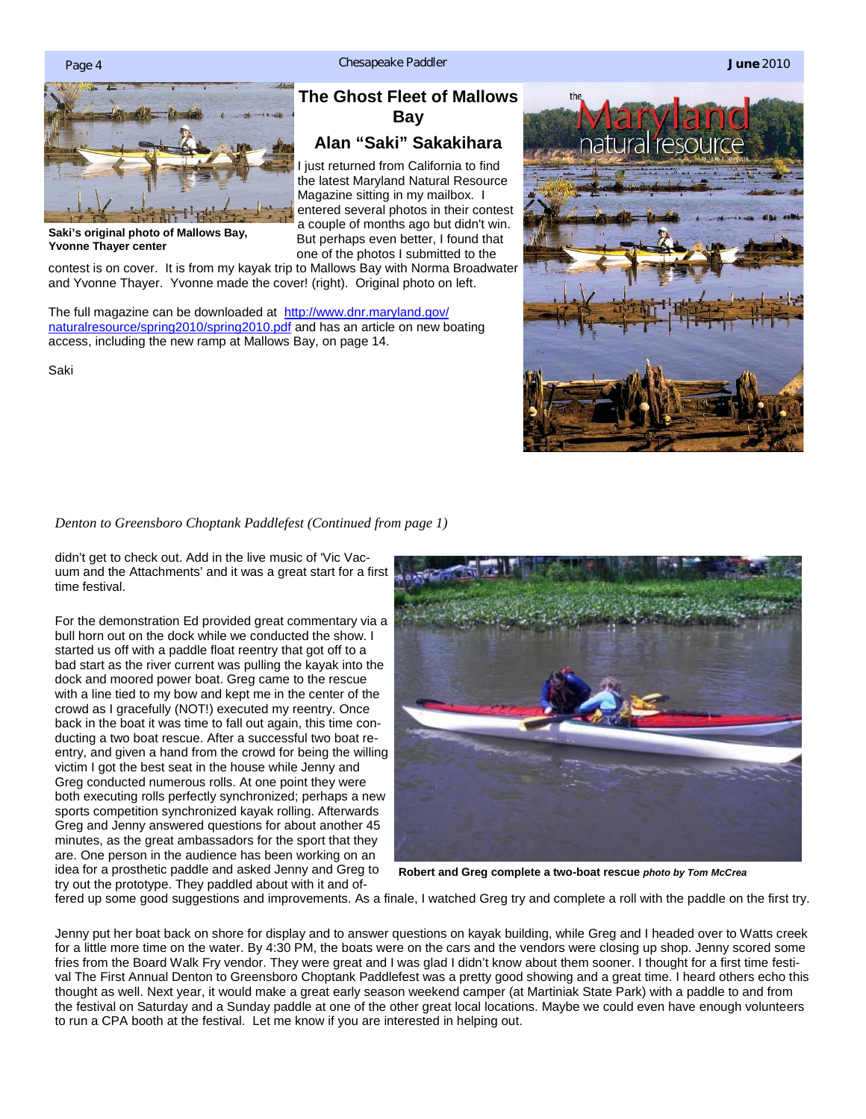

**Saki's original photo of Mallows Bay, Yvonne Thayer center** 

**The Ghost Fleet of Mallows Bay** 

### **Alan "Saki" Sakakihara**

I just returned from California to find the latest Maryland Natural Resource Magazine sitting in my mailbox. I entered several photos in their contest a couple of months ago but didn't win. But perhaps even better, I found that one of the photos I submitted to the

contest is on cover. It is from my kayak trip to Mallows Bay with Norma Broadwater and Yvonne Thayer. Yvonne made the cover! (right). Original photo on left.

The full magazine can be downloaded at http://www.dnr.maryland.gov/ [naturalresource/spring2010/spring2010.pdf and has an article on new boating](http://www.dnr.maryland.gov/naturalresource/spring2010/spring2010.pdf)  access, including the new ramp at Mallows Bay, on page 14.

Saki



<span id="page-1-0"></span>*[Denton to Greensboro Choptank Paddlefest \(Continued from page 1\)](#page-0-0)* 

didn't get to check out. Add in the live music of 'Vic Vacuum and the Attachments' and it was a great start for a first time festival.

For the demonstration Ed provided great commentary via a bull horn out on the dock while we conducted the show. I started us off with a paddle float reentry that got off to a bad start as the river current was pulling the kayak into the dock and moored power boat. Greg came to the rescue with a line tied to my bow and kept me in the center of the crowd as I gracefully (NOT!) executed my reentry. Once back in the boat it was time to fall out again, this time conducting a two boat rescue. After a successful two boat reentry, and given a hand from the crowd for being the willing victim I got the best seat in the house while Jenny and Greg conducted numerous rolls. At one point they were both executing rolls perfectly synchronized; perhaps a new sports competition synchronized kayak rolling. Afterwards Greg and Jenny answered questions for about another 45 minutes, as the great ambassadors for the sport that they are. One person in the audience has been working on an idea for a prosthetic paddle and asked Jenny and Greg to try out the prototype. They paddled about with it and of-



**Robert and Greg complete a two-boat rescue** *photo by Tom McCrea*

fered up some good suggestions and improvements. As a finale, I watched Greg try and complete a roll with the paddle on the first try.

Jenny put her boat back on shore for display and to answer questions on kayak building, while Greg and I headed over to Watts creek for a little more time on the water. By 4:30 PM, the boats were on the cars and the vendors were closing up shop. Jenny scored some fries from the Board Walk Fry vendor. They were great and I was glad I didn't know about them sooner. I thought for a first time festival The First Annual Denton to Greensboro Choptank Paddlefest was a pretty good showing and a great time. I heard others echo this thought as well. Next year, it would make a great early season weekend camper (at Martiniak State Park) with a paddle to and from the festival on Saturday and a Sunday paddle at one of the other great local locations. Maybe we could even have enough volunteers to run a CPA booth at the festival. Let me know if you are interested in helping out.